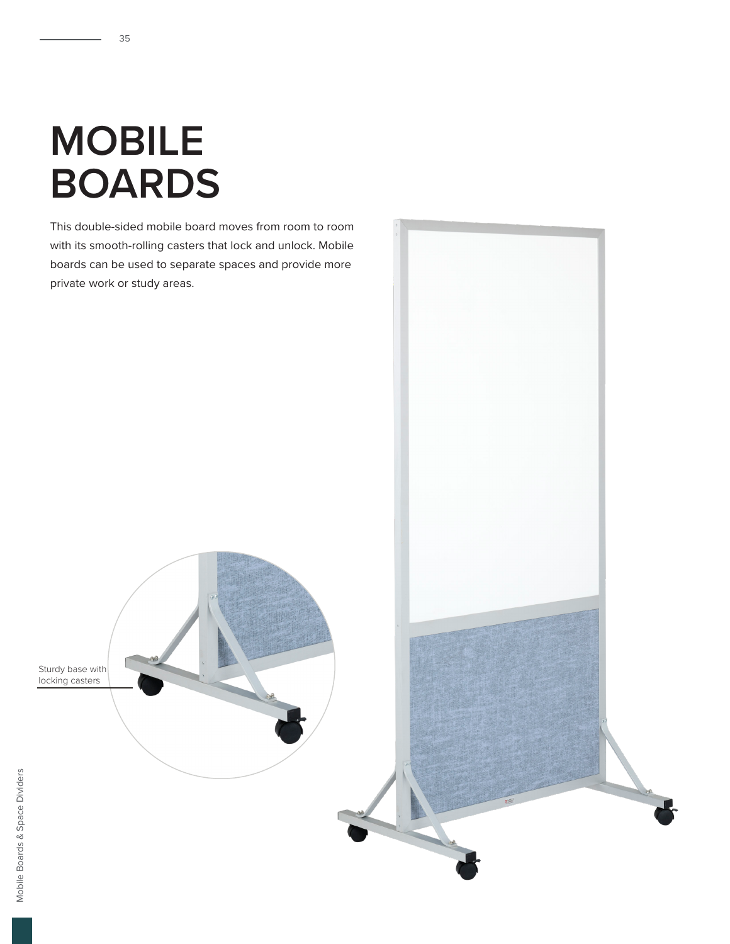## **MOBILE BOARDS**

This double-sided mobile board moves from room to room with its smooth-rolling casters that lock and unlock. Mobile boards can be used to separate spaces and provide more private work or study areas.

Sturdy base with locking casters